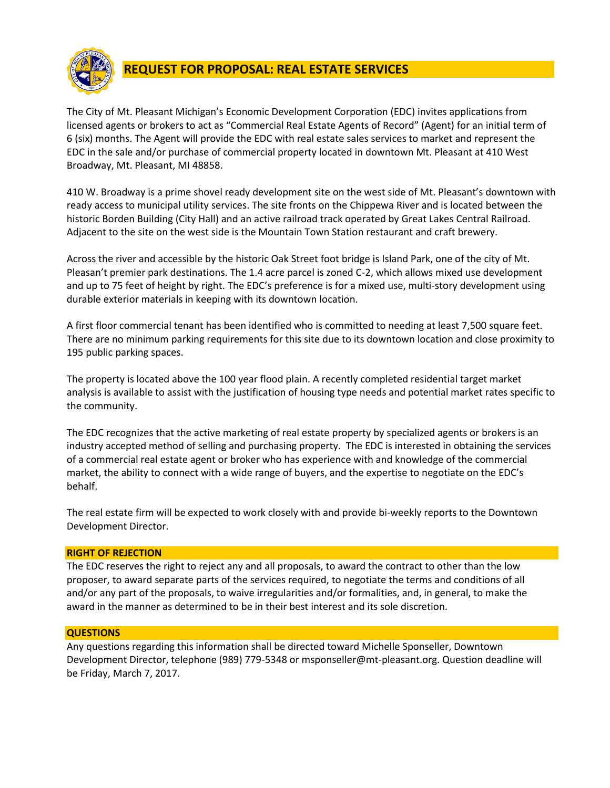

# **REQUEST FOR PROPOSAL: REAL ESTATE SERVICES**

The City of Mt. Pleasant Michigan's Economic Development Corporation (EDC) invites applications from licensed agents or brokers to act as "Commercial Real Estate Agents of Record" (Agent) for an initial term of 6 (six) months. The Agent will provide the EDC with real estate sales services to market and represent the EDC in the sale and/or purchase of commercial property located in downtown Mt. Pleasant at 410 West Broadway, Mt. Pleasant, MI 48858.

410 W. Broadway is a prime shovel ready development site on the west side of Mt. Pleasant's downtown with ready access to municipal utility services. The site fronts on the Chippewa River and is located between the historic Borden Building (City Hall) and an active railroad track operated by Great Lakes Central Railroad. Adjacent to the site on the west side is the Mountain Town Station restaurant and craft brewery.

Across the river and accessible by the historic Oak Street foot bridge is Island Park, one of the city of Mt. Pleasan't premier park destinations. The 1.4 acre parcel is zoned C-2, which allows mixed use development and up to 75 feet of height by right. The EDC's preference is for a mixed use, multi-story development using durable exterior materials in keeping with its downtown location.

A first floor commercial tenant has been identified who is committed to needing at least 7,500 square feet. There are no minimum parking requirements for this site due to its downtown location and close proximity to 195 public parking spaces.

The property is located above the 100 year flood plain. A recently completed residential target market analysis is available to assist with the justification of housing type needs and potential market rates specific to the community.

The EDC recognizes that the active marketing of real estate property by specialized agents or brokers is an industry accepted method of selling and purchasing property. The EDC is interested in obtaining the services of a commercial real estate agent or broker who has experience with and knowledge of the commercial market, the ability to connect with a wide range of buyers, and the expertise to negotiate on the EDC's behalf.

The real estate firm will be expected to work closely with and provide bi-weekly reports to the Downtown Development Director.

# **RIGHT OF REJECTION**

The EDC reserves the right to reject any and all proposals, to award the contract to other than the low proposer, to award separate parts of the services required, to negotiate the terms and conditions of all and/or any part of the proposals, to waive irregularities and/or formalities, and, in general, to make the award in the manner as determined to be in their best interest and its sole discretion.

# **QUESTIONS**

Any questions regarding this information shall be directed toward Michelle Sponseller, Downtown Development Director, telephone (989) 779-5348 or msponseller@mt-pleasant.org. Question deadline will be Friday, March 7, 2017.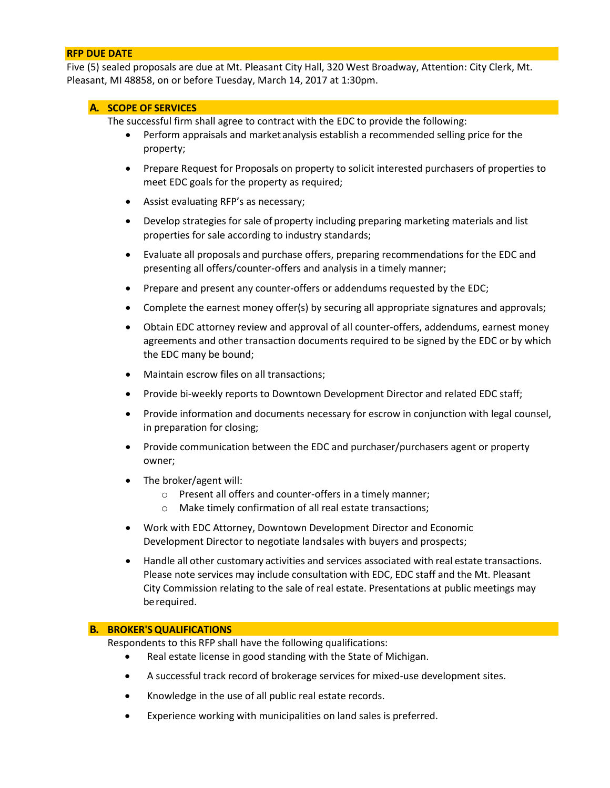## **RFP DUE DATE**

Five (5) sealed proposals are due at Mt. Pleasant City Hall, 320 West Broadway, Attention: City Clerk, Mt. Pleasant, MI 48858, on or before Tuesday, March 14, 2017 at 1:30pm.

## **A. SCOPE OF SERVICES**

The successful firm shall agree to contract with the EDC to provide the following:

- Perform appraisals and market analysis establish a recommended selling price for the property;
- Prepare Request for Proposals on property to solicit interested purchasers of properties to meet EDC goals for the property as required;
- Assist evaluating RFP's as necessary;
- Develop strategies for sale of property including preparing marketing materials and list properties for sale according to industry standards;
- Evaluate all proposals and purchase offers, preparing recommendations for the EDC and presenting all offers/counter-offers and analysis in a timely manner;
- Prepare and present any counter-offers or addendums requested by the EDC;
- Complete the earnest money offer(s) by securing all appropriate signatures and approvals;
- Obtain EDC attorney review and approval of all counter-offers, addendums, earnest money agreements and other transaction documents required to be signed by the EDC or by which the EDC many be bound;
- Maintain escrow files on all transactions;
- Provide bi-weekly reports to Downtown Development Director and related EDC staff;
- Provide information and documents necessary for escrow in conjunction with legal counsel, in preparation for closing;
- Provide communication between the EDC and purchaser/purchasers agent or property owner;
- The broker/agent will:
	- o Present all offers and counter-offers in a timely manner;
	- o Make timely confirmation of all real estate transactions;
- Work with EDC Attorney, Downtown Development Director and Economic Development Director to negotiate landsales with buyers and prospects;
- Handle all other customary activities and services associated with real estate transactions. Please note services may include consultation with EDC, EDC staff and the Mt. Pleasant City Commission relating to the sale of real estate. Presentations at public meetings may berequired.

## **B. BROKER'SQUALIFICATIONS**

Respondents to this RFP shall have the following qualifications:

- Real estate license in good standing with the State of Michigan.
- A successful track record of brokerage services for mixed-use development sites.
- Knowledge in the use of all public real estate records.
- Experience working with municipalities on land sales is preferred.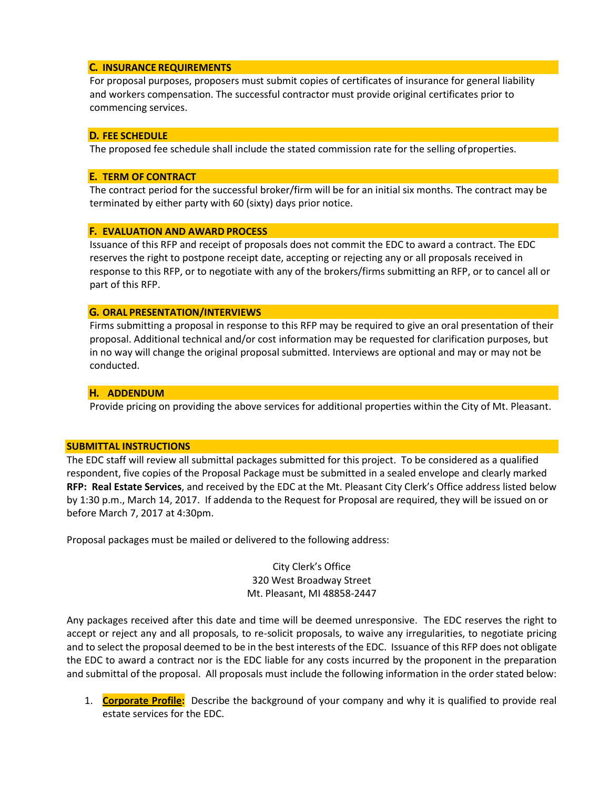## **C. INSURANCE REQUIREMENTS**

For proposal purposes, proposers must submit copies of certificates of insurance for general liability and workers compensation. The successful contractor must provide original certificates prior to commencing services.

## **D. FEE SCHEDULE**

The proposed fee schedule shall include the stated commission rate for the selling ofproperties.

## **E. TERM OF CONTRACT**

The contract period for the successful broker/firm will be for an initial six months. The contract may be terminated by either party with 60 (sixty) days prior notice.

# **F. EVALUATION AND AWARD PROCESS**

Issuance of this RFP and receipt of proposals does not commit the EDC to award a contract. The EDC reserves the right to postpone receipt date, accepting or rejecting any or all proposals received in response to this RFP, or to negotiate with any of the brokers/firms submitting an RFP, or to cancel all or part of this RFP.

## **G. ORAL PRESENTATION/INTERVIEWS**

Firms submitting a proposal in response to this RFP may be required to give an oral presentation of their proposal. Additional technical and/or cost information may be requested for clarification purposes, but in no way will change the original proposal submitted. Interviews are optional and may or may not be conducted.

## **H. ADDENDUM**

Provide pricing on providing the above services for additional properties within the City of Mt. Pleasant.

## **SUBMITTAL INSTRUCTIONS**

The EDC staff will review all submittal packages submitted for this project. To be considered as a qualified respondent, five copies of the Proposal Package must be submitted in a sealed envelope and clearly marked **RFP: Real Estate Services**, and received by the EDC at the Mt. Pleasant City Clerk's Office address listed below by 1:30 p.m., March 14, 2017. If addenda to the Request for Proposal are required, they will be issued on or before March 7, 2017 at 4:30pm.

Proposal packages must be mailed or delivered to the following address:

City Clerk's Office 320 West Broadway Street Mt. Pleasant, MI 48858-2447

Any packages received after this date and time will be deemed unresponsive. The EDC reserves the right to accept or reject any and all proposals, to re-solicit proposals, to waive any irregularities, to negotiate pricing and to select the proposal deemed to be in the best interests of the EDC. Issuance of this RFP does not obligate the EDC to award a contract nor is the EDC liable for any costs incurred by the proponent in the preparation and submittal of the proposal. All proposals must include the following information in the order stated below:

1. **Corporate Profile:** Describe the background of your company and why it is qualified to provide real estate services for the EDC.